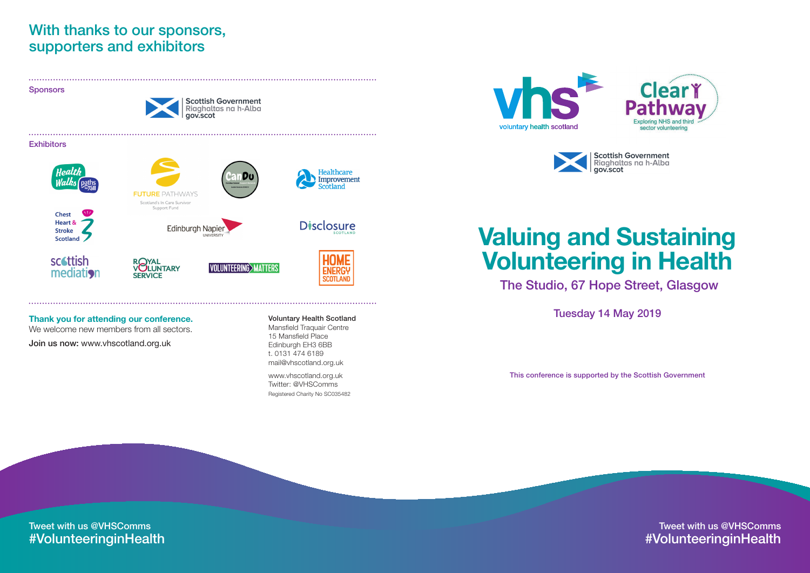### Thank you for attending our conference.

We welcome new members from all sectors. Join us now: www.vhscotland.org.uk

## With thanks to our sponsors, supporters and exhibitors

#### Voluntary Health Scotland

Mansfield Traquair Centre 15 Mansfield Place Edinburgh EH3 6BB t. 0131 474 6189 mail@vhscotland.org.uk

www.vhscotland.org.uk Twitter: @VHSComms Registered Charity No SC035482





Sponsors

**Scottish Government** Riaghaltas na h-Alba gov.scot

#### **Exhibitors**



**Chest Heart & Stroke Scotland** 







**Edinburgh Napier** 

ROYAL<br>VOLUNTARY **SERVICE** 



**VOLUNTEERING>MATTERS** 



**ENERGY** 

**SCOTLAND** 

Tweet with us @VHSComms #VolunteeringinHealth



**Scottish Government**<br>Riaghaltas na h-Alba

## Valuing and Sustaining Volunteering in Health The Studio, 67 Hope Street, Glasgow

Tuesday 14 May 2019

Tweet with us @VHSComms #VolunteeringinHealth

This conference is supported by the Scottish Government